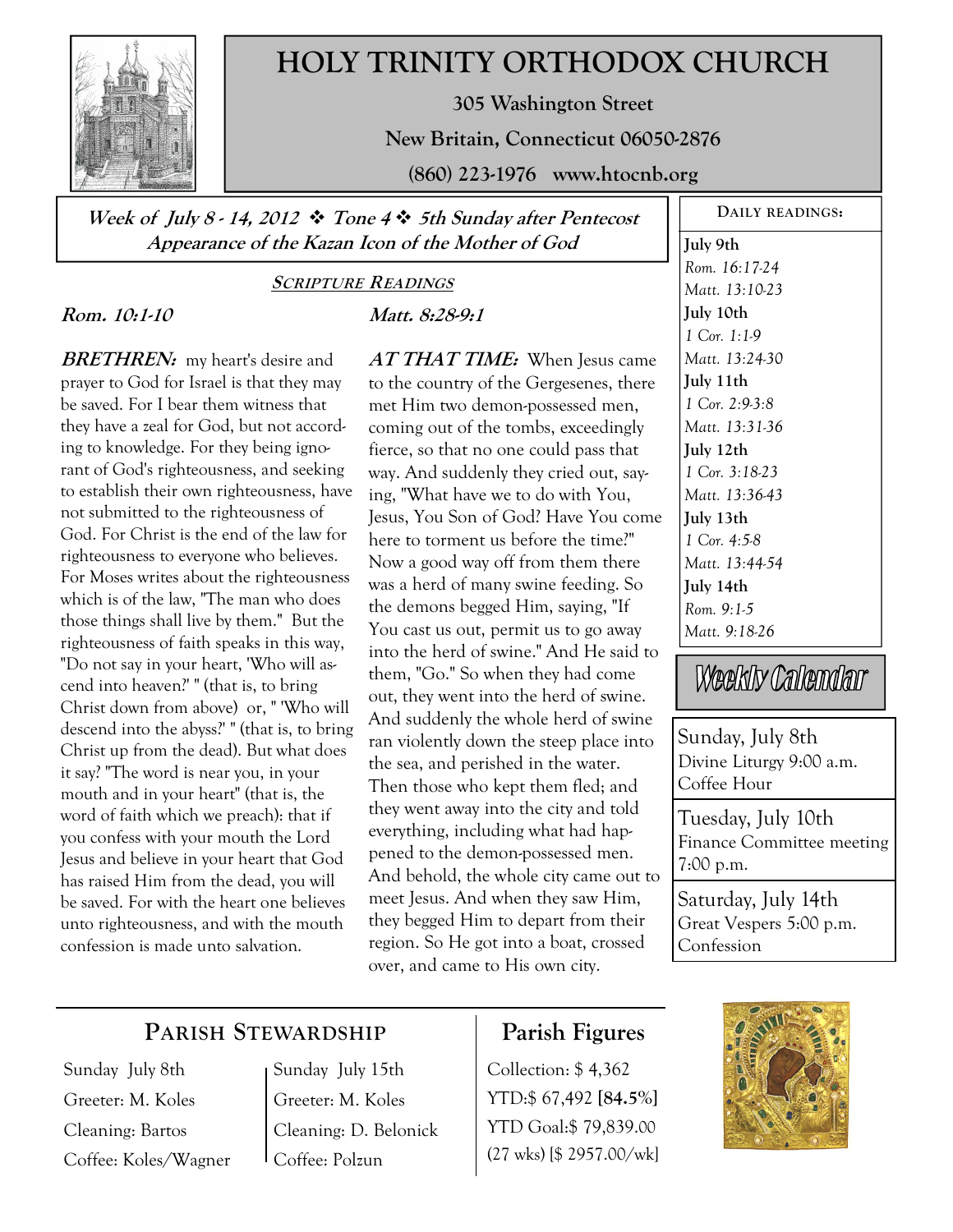

# **HOLY TRINITY ORTHODOX CHURCH**

**305 Washington Street** 

**New Britain, Connecticut 06050-2876** 

**(860) 223-1976 www.htocnb.org** 

**Week of July 8 - 14, 2012 Tone 4 5th Sunday after Pentecost Appearance of the Kazan Icon of the Mother of God** 

#### **SCRIPTURE READINGS**

## **Rom. 10:1-10**

**BRETHREN:** my heart's desire and prayer to God for Israel is that they may be saved. For I bear them witness that they have a zeal for God, but not according to knowledge. For they being ignorant of God's righteousness, and seeking to establish their own righteousness, have not submitted to the righteousness of God. For Christ is the end of the law for righteousness to everyone who believes. For Moses writes about the righteousness which is of the law, "The man who does those things shall live by them." But the righteousness of faith speaks in this way, "Do not say in your heart, 'Who will ascend into heaven?' " (that is, to bring Christ down from above) or, " 'Who will descend into the abyss?' " (that is, to bring Christ up from the dead). But what does it say? "The word is near you, in your mouth and in your heart" (that is, the word of faith which we preach): that if you confess with your mouth the Lord Jesus and believe in your heart that God has raised Him from the dead, you will be saved. For with the heart one believes unto righteousness, and with the mouth confession is made unto salvation.

**Matt. 8:28-9:1** 

**AT THAT TIME:** When Jesus came to the country of the Gergesenes, there met Him two demon-possessed men, coming out of the tombs, exceedingly fierce, so that no one could pass that way. And suddenly they cried out, saying, "What have we to do with You, Jesus, You Son of God? Have You come here to torment us before the time?" Now a good way off from them there was a herd of many swine feeding. So the demons begged Him, saying, "If You cast us out, permit us to go away into the herd of swine." And He said to them, "Go." So when they had come out, they went into the herd of swine. And suddenly the whole herd of swine ran violently down the steep place into the sea, and perished in the water. Then those who kept them fled; and they went away into the city and told everything, including what had happened to the demon-possessed men. And behold, the whole city came out to meet Jesus. And when they saw Him, they begged Him to depart from their region. So He got into a boat, crossed over, and came to His own city.

**DAILY READINGS: July 9th**  *Rom. 16:17-24 Matt. 13:10-23*  **July 10th**  *1 Cor. 1:1-9 Matt. 13:24-30*  **July 11th**  *1 Cor. 2:9-3:8 Matt. 13:31-36*  **July 12th**  *1 Cor. 3:18-23 Matt. 13:36-43*  **July 13th**  *1 Cor. 4:5-8 Matt. 13:44-54*  **July 14th**  *Rom. 9:1-5 Matt. 9:18-26* 

Weekly Calendar

Sunday, July 8th Divine Liturgy 9:00 a.m. Coffee Hour

Tuesday, July 10th Finance Committee meeting 7:00 p.m.

Saturday, July 14th Great Vespers 5:00 p.m. Confession

# **PARISH STEWARDSHIP**

Sunday July 8th Greeter: M. Koles Cleaning: Bartos Coffee: Koles/Wagner Sunday July 15th Greeter: M. Koles Cleaning: D. Belonick Coffee: Polzun

# **Parish Figures**

Collection: \$ 4,362 YTD:\$ 67,492 **[84.5%]** YTD Goal:\$ 79,839.00 (27 wks) [\$ 2957.00/wk]